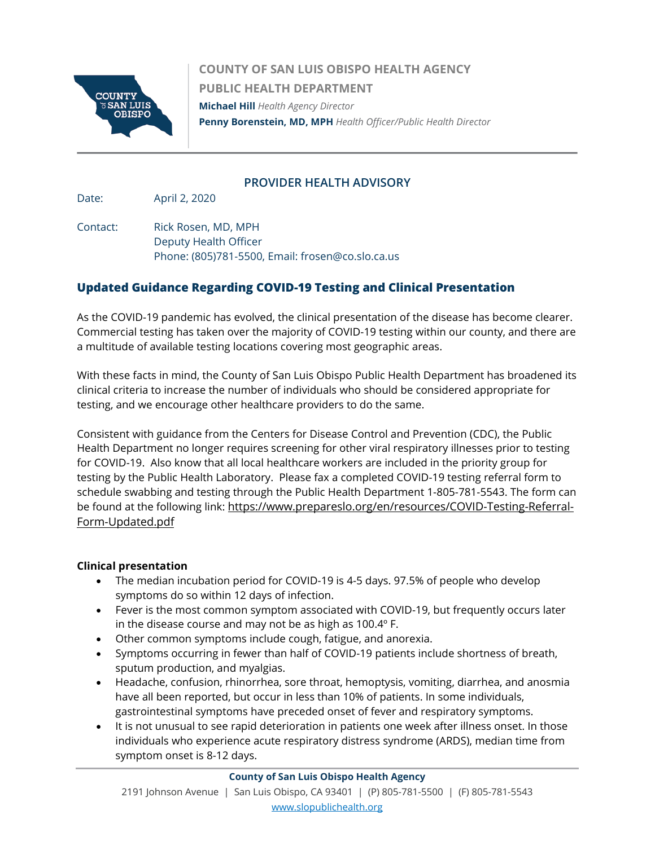

**COUNTY OF SAN LUIS OBISPO HEALTH AGENCY PUBLIC HEALTH DEPARTMENT Michael Hill** *Health Agency Director*  **Penny Borenstein, MD, MPH** *Health Officer/Public Health Director*

## **PROVIDER HEALTH ADVISORY**

Date: April 2, 2020

Contact: Rick Rosen, MD, MPH Deputy Health Officer Phone: (805)781-5500, Email: frosen@co.slo.ca.us

# **Updated Guidance Regarding COVID-19 Testing and Clinical Presentation**

As the COVID-19 pandemic has evolved, the clinical presentation of the disease has become clearer. Commercial testing has taken over the majority of COVID-19 testing within our county, and there are a multitude of available testing locations covering most geographic areas.

With these facts in mind, the County of San Luis Obispo Public Health Department has broadened its clinical criteria to increase the number of individuals who should be considered appropriate for testing, and we encourage other healthcare providers to do the same.

Consistent with guidance from the Centers for Disease Control and Prevention (CDC), the Public Health Department no longer requires screening for other viral respiratory illnesses prior to testing for COVID-19. Also know that all local healthcare workers are included in the priority group for testing by the Public Health Laboratory. Please fax a completed COVID-19 testing referral form to schedule swabbing and testing through the Public Health Department 1-805-781-5543. The form can be found at the following link: [https://www.prepareslo.org/en/resources/COVID-Testing-Referral-](https://www.prepareslo.org/en/resources/COVID-Testing-Referral-Form-Updated.pdf)[Form-Updated.pdf](https://www.prepareslo.org/en/resources/COVID-Testing-Referral-Form-Updated.pdf)

### **Clinical presentation**

- The median incubation period for COVID-19 is 4-5 days. 97.5% of people who develop symptoms do so within 12 days of infection.
- Fever is the most common symptom associated with COVID-19, but frequently occurs later in the disease course and may not be as high as 100.4º F.
- Other common symptoms include cough, fatigue, and anorexia.
- Symptoms occurring in fewer than half of COVID-19 patients include shortness of breath, sputum production, and myalgias.
- Headache, confusion, rhinorrhea, sore throat, hemoptysis, vomiting, diarrhea, and anosmia have all been reported, but occur in less than 10% of patients. In some individuals, gastrointestinal symptoms have preceded onset of fever and respiratory symptoms.
- It is not unusual to see rapid deterioration in patients one week after illness onset. In those individuals who experience acute respiratory distress syndrome (ARDS), median time from symptom onset is 8-12 days.